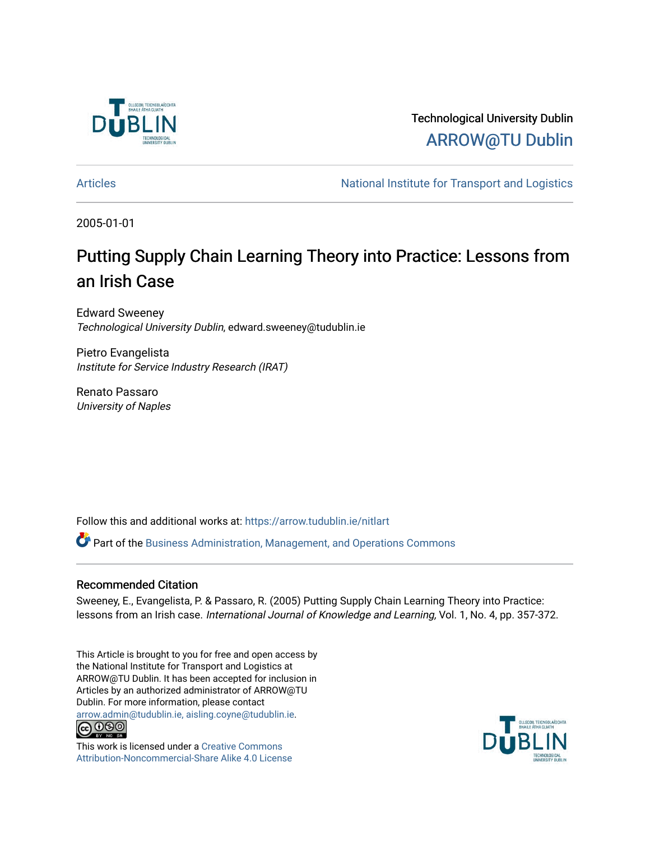

Technological University Dublin [ARROW@TU Dublin](https://arrow.tudublin.ie/) 

[Articles](https://arrow.tudublin.ie/nitlart) **National Institute for Transport and Logistics** Articles

2005-01-01

# Putting Supply Chain Learning Theory into Practice: Lessons from an Irish Case

Edward Sweeney Technological University Dublin, edward.sweeney@tudublin.ie

Pietro Evangelista Institute for Service Industry Research (IRAT)

Renato Passaro University of Naples

Follow this and additional works at: [https://arrow.tudublin.ie/nitlart](https://arrow.tudublin.ie/nitlart?utm_source=arrow.tudublin.ie%2Fnitlart%2F10&utm_medium=PDF&utm_campaign=PDFCoverPages) 

Part of the [Business Administration, Management, and Operations Commons](http://network.bepress.com/hgg/discipline/623?utm_source=arrow.tudublin.ie%2Fnitlart%2F10&utm_medium=PDF&utm_campaign=PDFCoverPages)

# Recommended Citation

Sweeney, E., Evangelista, P. & Passaro, R. (2005) Putting Supply Chain Learning Theory into Practice: lessons from an Irish case. International Journal of Knowledge and Learning, Vol. 1, No. 4, pp. 357-372.

This Article is brought to you for free and open access by the National Institute for Transport and Logistics at ARROW@TU Dublin. It has been accepted for inclusion in Articles by an authorized administrator of ARROW@TU Dublin. For more information, please contact [arrow.admin@tudublin.ie, aisling.coyne@tudublin.ie](mailto:arrow.admin@tudublin.ie,%20aisling.coyne@tudublin.ie).<br>
co 000



This work is licensed under a [Creative Commons](http://creativecommons.org/licenses/by-nc-sa/4.0/) [Attribution-Noncommercial-Share Alike 4.0 License](http://creativecommons.org/licenses/by-nc-sa/4.0/)

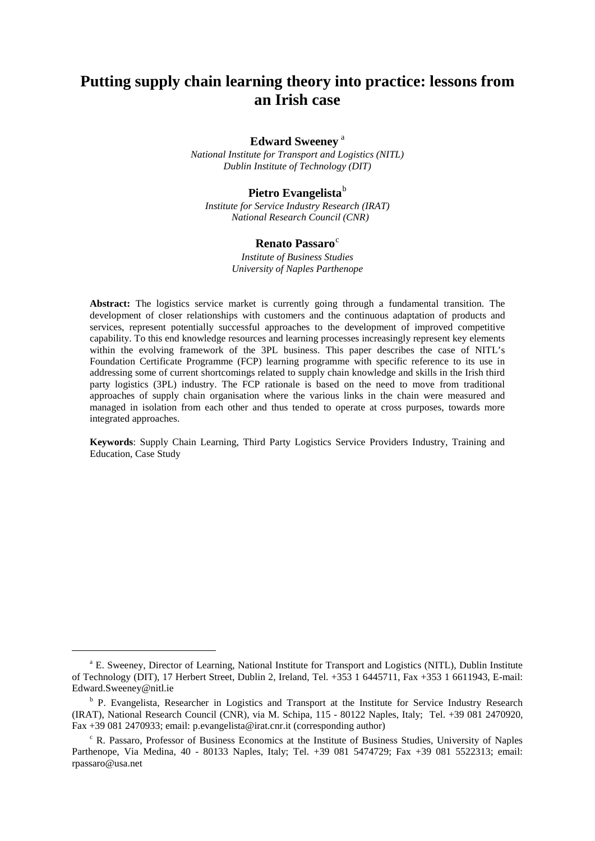# **Putting supply chain learning theory into practice: lessons from an Irish case**

#### **Edw[a](#page-1-0)rd Sweeney**<sup>a</sup>

*National Institute for Transport and Logistics (NITL) Dublin Institute of Technology (DIT)* 

## Pietro Evangelista<sup>[b](#page-1-1)</sup>

*Institute for Service Industry Research (IRAT)* *National Research Council (CNR)*

#### **Renato Passaro**<sup>[c](#page-1-2)</sup>

*Institute of Business Studies University of Naples Parthenope*

**Abstract:** The logistics service market is currently going through a fundamental transition. The development of closer relationships with customers and the continuous adaptation of products and services, represent potentially successful approaches to the development of improved competitive capability. To this end knowledge resources and learning processes increasingly represent key elements within the evolving framework of the 3PL business. This paper describes the case of NITL's Foundation Certificate Programme (FCP) learning programme with specific reference to its use in addressing some of current shortcomings related to supply chain knowledge and skills in the Irish third party logistics (3PL) industry. The FCP rationale is based on the need to move from traditional approaches of supply chain organisation where the various links in the chain were measured and managed in isolation from each other and thus tended to operate at cross purposes, towards more integrated approaches.

**Keywords**: Supply Chain Learning, Third Party Logistics Service Providers Industry, Training and Education, Case Study

<span id="page-1-0"></span><sup>&</sup>lt;sup>a</sup> E. Sweeney, Director of Learning, National Institute for Transport and Logistics (NITL), Dublin Institute of Technology (DIT), 17 Herbert Street, Dublin 2, Ireland, Tel. +353 1 6445711, Fax +353 1 6611943, E-mail: Edward.Sweeney@nitl.ie

<span id="page-1-1"></span><sup>&</sup>lt;sup>b</sup> P. Evangelista, Researcher in Logistics and Transport at the Institute for Service Industry Research (IRAT), National Research Council (CNR), via M. Schipa, 115 - 80122 Naples, Italy; Tel. +39 081 2470920, Fax +39 081 2470933; email: [p.evangelista@irat.cnr.it](mailto:p.evangelista@irat.na.cnr.it) (corresponding author)

<span id="page-1-2"></span> $c$  R. Passaro, Professor of Business Economics at the Institute of Business Studies, University of Naples Parthenope, Via Medina, 40 - 80133 Naples, Italy; Tel. +39 081 5474729; Fax +39 081 5522313; email: rpassaro@usa.net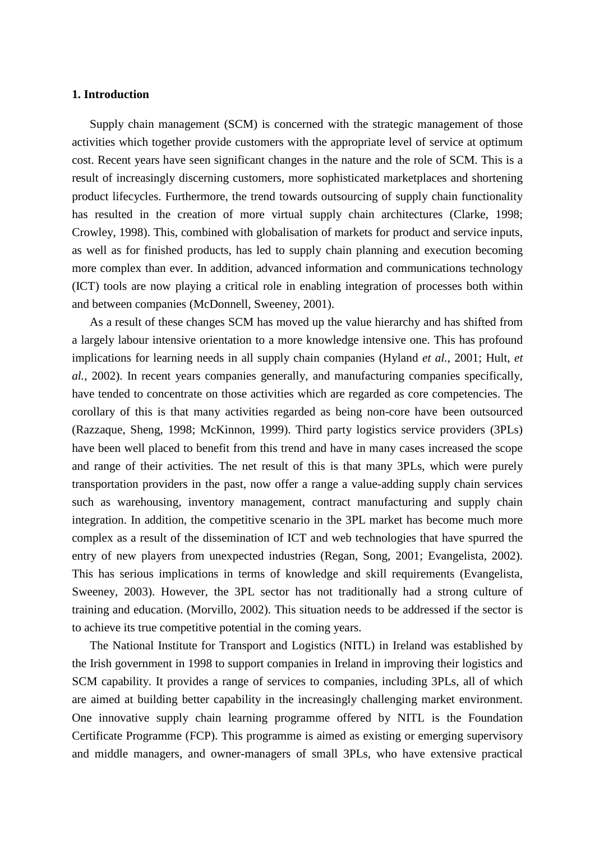#### **1. Introduction**

Supply chain management (SCM) is concerned with the strategic management of those activities which together provide customers with the appropriate level of service at optimum cost. Recent years have seen significant changes in the nature and the role of SCM. This is a result of increasingly discerning customers, more sophisticated marketplaces and shortening product lifecycles. Furthermore, the trend towards outsourcing of supply chain functionality has resulted in the creation of more virtual supply chain architectures (Clarke, 1998; Crowley, 1998). This, combined with globalisation of markets for product and service inputs, as well as for finished products, has led to supply chain planning and execution becoming more complex than ever. In addition, advanced information and communications technology (ICT) tools are now playing a critical role in enabling integration of processes both within and between companies (McDonnell, Sweeney, 2001).

As a result of these changes SCM has moved up the value hierarchy and has shifted from a largely labour intensive orientation to a more knowledge intensive one. This has profound implications for learning needs in all supply chain companies (Hyland *et al.*, 2001; Hult, *et al.*, 2002). In recent years companies generally, and manufacturing companies specifically, have tended to concentrate on those activities which are regarded as core competencies. The corollary of this is that many activities regarded as being non-core have been outsourced (Razzaque, Sheng, 1998; McKinnon, 1999). Third party logistics service providers (3PLs) have been well placed to benefit from this trend and have in many cases increased the scope and range of their activities. The net result of this is that many 3PLs, which were purely transportation providers in the past, now offer a range a value-adding supply chain services such as warehousing, inventory management, contract manufacturing and supply chain integration. In addition, the competitive scenario in the 3PL market has become much more complex as a result of the dissemination of ICT and web technologies that have spurred the entry of new players from unexpected industries (Regan, Song, 2001; Evangelista, 2002). This has serious implications in terms of knowledge and skill requirements (Evangelista, Sweeney, 2003). However, the 3PL sector has not traditionally had a strong culture of training and education. (Morvillo, 2002). This situation needs to be addressed if the sector is to achieve its true competitive potential in the coming years.

The National Institute for Transport and Logistics (NITL) in Ireland was established by the Irish government in 1998 to support companies in Ireland in improving their logistics and SCM capability. It provides a range of services to companies, including 3PLs, all of which are aimed at building better capability in the increasingly challenging market environment. One innovative supply chain learning programme offered by NITL is the Foundation Certificate Programme (FCP). This programme is aimed as existing or emerging supervisory and middle managers, and owner-managers of small 3PLs, who have extensive practical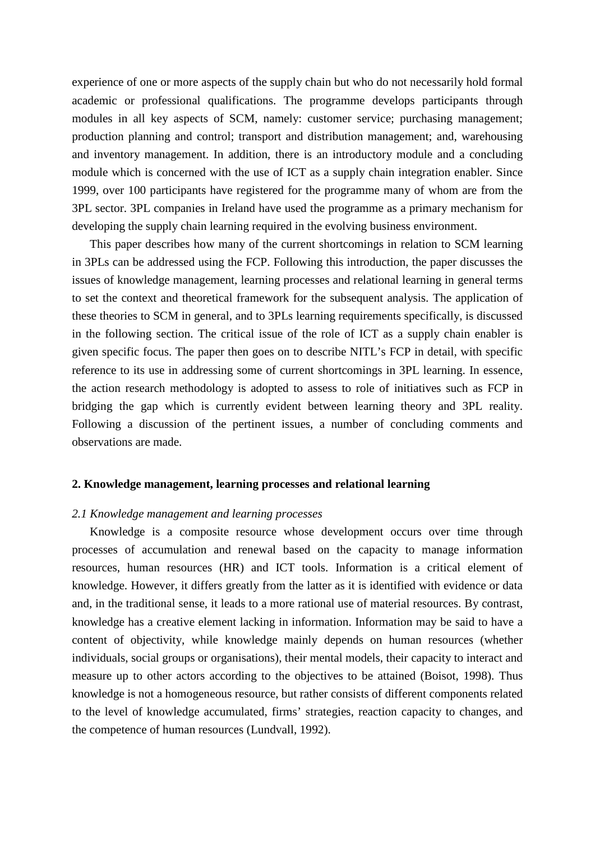experience of one or more aspects of the supply chain but who do not necessarily hold formal academic or professional qualifications. The programme develops participants through modules in all key aspects of SCM, namely: customer service; purchasing management; production planning and control; transport and distribution management; and, warehousing and inventory management. In addition, there is an introductory module and a concluding module which is concerned with the use of ICT as a supply chain integration enabler. Since 1999, over 100 participants have registered for the programme many of whom are from the 3PL sector. 3PL companies in Ireland have used the programme as a primary mechanism for developing the supply chain learning required in the evolving business environment.

This paper describes how many of the current shortcomings in relation to SCM learning in 3PLs can be addressed using the FCP. Following this introduction, the paper discusses the issues of knowledge management, learning processes and relational learning in general terms to set the context and theoretical framework for the subsequent analysis. The application of these theories to SCM in general, and to 3PLs learning requirements specifically, is discussed in the following section. The critical issue of the role of ICT as a supply chain enabler is given specific focus. The paper then goes on to describe NITL's FCP in detail, with specific reference to its use in addressing some of current shortcomings in 3PL learning. In essence, the action research methodology is adopted to assess to role of initiatives such as FCP in bridging the gap which is currently evident between learning theory and 3PL reality. Following a discussion of the pertinent issues, a number of concluding comments and observations are made.

#### **2. Knowledge management, learning processes and relational learning**

#### *2.1 Knowledge management and learning processes*

Knowledge is a composite resource whose development occurs over time through processes of accumulation and renewal based on the capacity to manage information resources, human resources (HR) and ICT tools. Information is a critical element of knowledge. However, it differs greatly from the latter as it is identified with evidence or data and, in the traditional sense, it leads to a more rational use of material resources. By contrast, knowledge has a creative element lacking in information. Information may be said to have a content of objectivity, while knowledge mainly depends on human resources (whether individuals, social groups or organisations), their mental models, their capacity to interact and measure up to other actors according to the objectives to be attained (Boisot, 1998). Thus knowledge is not a homogeneous resource, but rather consists of different components related to the level of knowledge accumulated, firms' strategies, reaction capacity to changes, and the competence of human resources (Lundvall, 1992).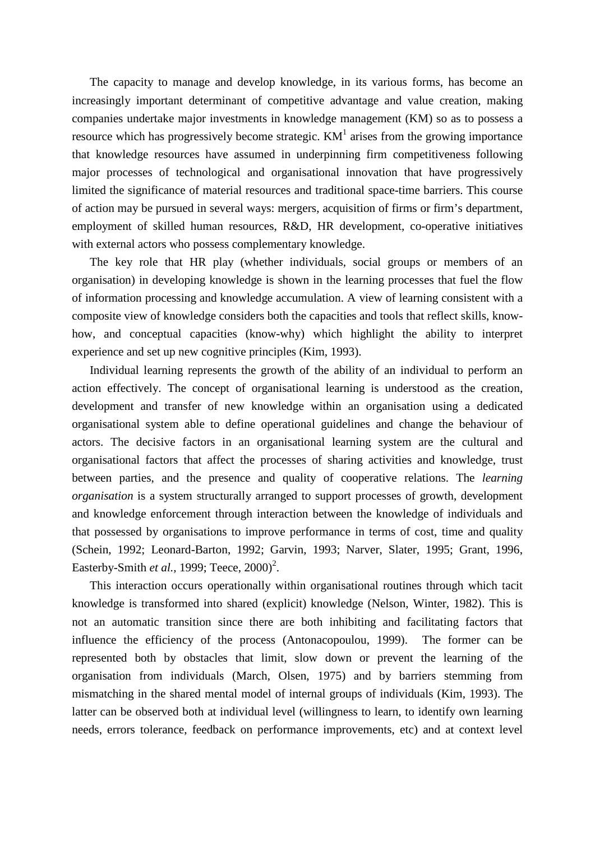The capacity to manage and develop knowledge, in its various forms, has become an increasingly important determinant of competitive advantage and value creation, making companies undertake major investments in knowledge management (KM) so as to possess a resource which has progressively become strategic.  $KM<sup>1</sup>$  arises from the growing importance that knowledge resources have assumed in underpinning firm competitiveness following major processes of technological and organisational innovation that have progressively limited the significance of material resources and traditional space-time barriers. This course of action may be pursued in several ways: mergers, acquisition of firms or firm's department, employment of skilled human resources, R&D, HR development, co-operative initiatives with external actors who possess complementary knowledge.

The key role that HR play (whether individuals, social groups or members of an organisation) in developing knowledge is shown in the learning processes that fuel the flow of information processing and knowledge accumulation. A view of learning consistent with a composite view of knowledge considers both the capacities and tools that reflect skills, knowhow, and conceptual capacities (know-why) which highlight the ability to interpret experience and set up new cognitive principles (Kim, 1993).

Individual learning represents the growth of the ability of an individual to perform an action effectively. The concept of organisational learning is understood as the creation, development and transfer of new knowledge within an organisation using a dedicated organisational system able to define operational guidelines and change the behaviour of actors. The decisive factors in an organisational learning system are the cultural and organisational factors that affect the processes of sharing activities and knowledge, trust between parties, and the presence and quality of cooperative relations. The *learning organisation* is a system structurally arranged to support processes of growth, development and knowledge enforcement through interaction between the knowledge of individuals and that possessed by organisations to improve performance in terms of cost, time and quality (Schein, 1992; Leonard-Barton, 1992; Garvin, 1993; Narver, Slater, 1995; Grant, 1996, Easterby-Smith *et al.*, 1999; Teece, 2000)<sup>2</sup>.

This interaction occurs operationally within organisational routines through which tacit knowledge is transformed into shared (explicit) knowledge (Nelson, Winter, 1982). This is not an automatic transition since there are both inhibiting and facilitating factors that influence the efficiency of the process (Antonacopoulou, 1999). The former can be represented both by obstacles that limit, slow down or prevent the learning of the organisation from individuals (March, Olsen, 1975) and by barriers stemming from mismatching in the shared mental model of internal groups of individuals (Kim, 1993). The latter can be observed both at individual level (willingness to learn, to identify own learning needs, errors tolerance, feedback on performance improvements, etc) and at context level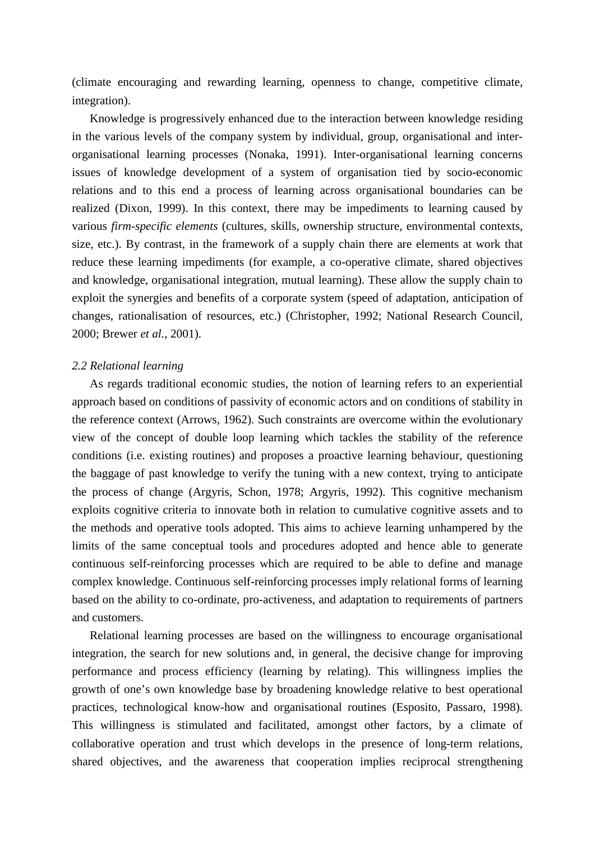(climate encouraging and rewarding learning, openness to change, competitive climate, integration).

Knowledge is progressively enhanced due to the interaction between knowledge residing in the various levels of the company system by individual, group, organisational and interorganisational learning processes (Nonaka, 1991). Inter-organisational learning concerns issues of knowledge development of a system of organisation tied by socio-economic relations and to this end a process of learning across organisational boundaries can be realized (Dixon, 1999). In this context, there may be impediments to learning caused by various *firm-specific elements* (cultures, skills, ownership structure, environmental contexts, size, etc.). By contrast, in the framework of a supply chain there are elements at work that reduce these learning impediments (for example, a co-operative climate, shared objectives and knowledge, organisational integration, mutual learning). These allow the supply chain to exploit the synergies and benefits of a corporate system (speed of adaptation, anticipation of changes, rationalisation of resources, etc.) (Christopher, 1992; National Research Council, 2000; Brewer *et al.*, 2001).

## *2.2 Relational learning*

As regards traditional economic studies, the notion of learning refers to an experiential approach based on conditions of passivity of economic actors and on conditions of stability in the reference context (Arrows, 1962). Such constraints are overcome within the evolutionary view of the concept of double loop learning which tackles the stability of the reference conditions (i.e. existing routines) and proposes a proactive learning behaviour, questioning the baggage of past knowledge to verify the tuning with a new context, trying to anticipate the process of change (Argyris, Schon, 1978; Argyris, 1992). This cognitive mechanism exploits cognitive criteria to innovate both in relation to cumulative cognitive assets and to the methods and operative tools adopted. This aims to achieve learning unhampered by the limits of the same conceptual tools and procedures adopted and hence able to generate continuous self-reinforcing processes which are required to be able to define and manage complex knowledge. Continuous self-reinforcing processes imply relational forms of learning based on the ability to co-ordinate, pro-activeness, and adaptation to requirements of partners and customers.

Relational learning processes are based on the willingness to encourage organisational integration, the search for new solutions and, in general, the decisive change for improving performance and process efficiency (learning by relating). This willingness implies the growth of one's own knowledge base by broadening knowledge relative to best operational practices, technological know-how and organisational routines (Esposito, Passaro, 1998). This willingness is stimulated and facilitated, amongst other factors, by a climate of collaborative operation and trust which develops in the presence of long-term relations, shared objectives, and the awareness that cooperation implies reciprocal strengthening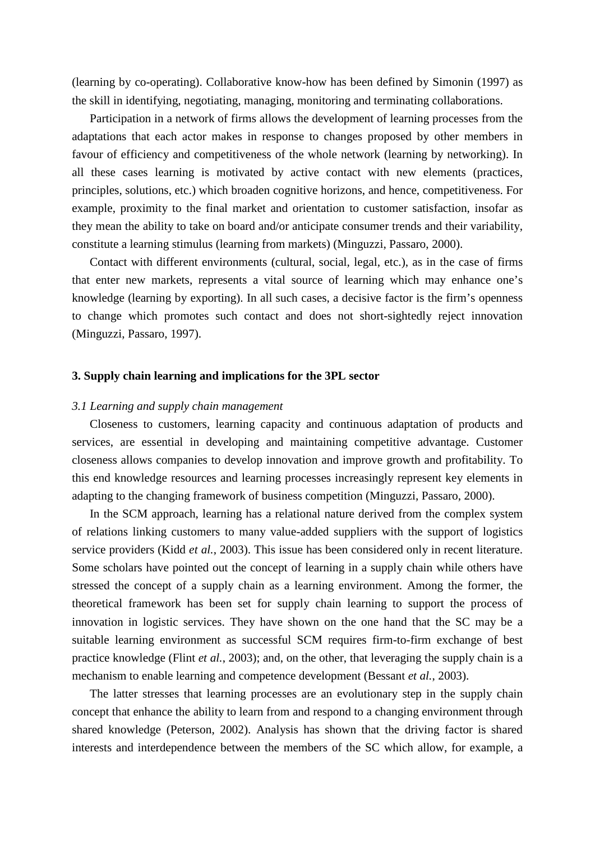(learning by co-operating). Collaborative know-how has been defined by Simonin (1997) as the skill in identifying, negotiating, managing, monitoring and terminating collaborations.

Participation in a network of firms allows the development of learning processes from the adaptations that each actor makes in response to changes proposed by other members in favour of efficiency and competitiveness of the whole network (learning by networking). In all these cases learning is motivated by active contact with new elements (practices, principles, solutions, etc.) which broaden cognitive horizons, and hence, competitiveness. For example, proximity to the final market and orientation to customer satisfaction, insofar as they mean the ability to take on board and/or anticipate consumer trends and their variability, constitute a learning stimulus (learning from markets) (Minguzzi, Passaro, 2000).

Contact with different environments (cultural, social, legal, etc.), as in the case of firms that enter new markets, represents a vital source of learning which may enhance one's knowledge (learning by exporting). In all such cases, a decisive factor is the firm's openness to change which promotes such contact and does not short-sightedly reject innovation (Minguzzi, Passaro, 1997).

#### **3. Supply chain learning and implications for the 3PL sector**

#### *3.1 Learning and supply chain management*

Closeness to customers, learning capacity and continuous adaptation of products and services, are essential in developing and maintaining competitive advantage. Customer closeness allows companies to develop innovation and improve growth and profitability. To this end knowledge resources and learning processes increasingly represent key elements in adapting to the changing framework of business competition (Minguzzi, Passaro, 2000).

In the SCM approach, learning has a relational nature derived from the complex system of relations linking customers to many value-added suppliers with the support of logistics service providers (Kidd *et al.*, 2003). This issue has been considered only in recent literature. Some scholars have pointed out the concept of learning in a supply chain while others have stressed the concept of a supply chain as a learning environment. Among the former, the theoretical framework has been set for supply chain learning to support the process of innovation in logistic services. They have shown on the one hand that the SC may be a suitable learning environment as successful SCM requires firm-to-firm exchange of best practice knowledge (Flint *et al.*, 2003); and, on the other, that leveraging the supply chain is a mechanism to enable learning and competence development (Bessant *et al.*, 2003).

The latter stresses that learning processes are an evolutionary step in the supply chain concept that enhance the ability to learn from and respond to a changing environment through shared knowledge (Peterson, 2002). Analysis has shown that the driving factor is shared interests and interdependence between the members of the SC which allow, for example, a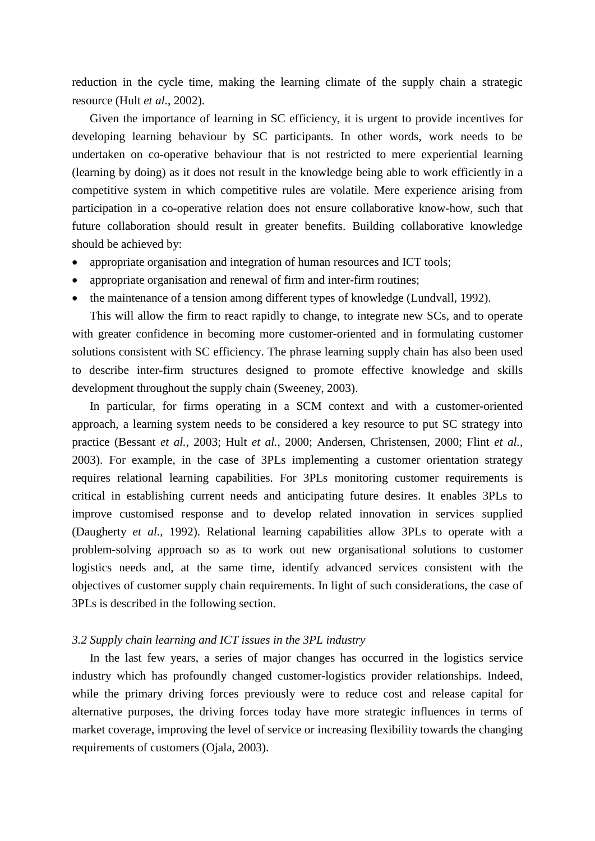reduction in the cycle time, making the learning climate of the supply chain a strategic resource (Hult *et al.*, 2002).

Given the importance of learning in SC efficiency, it is urgent to provide incentives for developing learning behaviour by SC participants. In other words, work needs to be undertaken on co-operative behaviour that is not restricted to mere experiential learning (learning by doing) as it does not result in the knowledge being able to work efficiently in a competitive system in which competitive rules are volatile. Mere experience arising from participation in a co-operative relation does not ensure collaborative know-how, such that future collaboration should result in greater benefits. Building collaborative knowledge should be achieved by:

- appropriate organisation and integration of human resources and ICT tools;
- appropriate organisation and renewal of firm and inter-firm routines;
- the maintenance of a tension among different types of knowledge (Lundvall, 1992).

This will allow the firm to react rapidly to change, to integrate new SCs, and to operate with greater confidence in becoming more customer-oriented and in formulating customer solutions consistent with SC efficiency. The phrase learning supply chain has also been used to describe inter-firm structures designed to promote effective knowledge and skills development throughout the supply chain (Sweeney, 2003).

In particular, for firms operating in a SCM context and with a customer-oriented approach, a learning system needs to be considered a key resource to put SC strategy into practice (Bessant *et al.*, 2003; Hult *et al.*, 2000; Andersen, Christensen, 2000; Flint *et al.*, 2003). For example, in the case of 3PLs implementing a customer orientation strategy requires relational learning capabilities. For 3PLs monitoring customer requirements is critical in establishing current needs and anticipating future desires. It enables 3PLs to improve customised response and to develop related innovation in services supplied (Daugherty *et al.*, 1992). Relational learning capabilities allow 3PLs to operate with a problem-solving approach so as to work out new organisational solutions to customer logistics needs and, at the same time, identify advanced services consistent with the objectives of customer supply chain requirements. In light of such considerations, the case of 3PLs is described in the following section.

#### *3.2 Supply chain learning and ICT issues in the 3PL industry*

In the last few years, a series of major changes has occurred in the logistics service industry which has profoundly changed customer-logistics provider relationships. Indeed, while the primary driving forces previously were to reduce cost and release capital for alternative purposes, the driving forces today have more strategic influences in terms of market coverage, improving the level of service or increasing flexibility towards the changing requirements of customers (Ojala, 2003).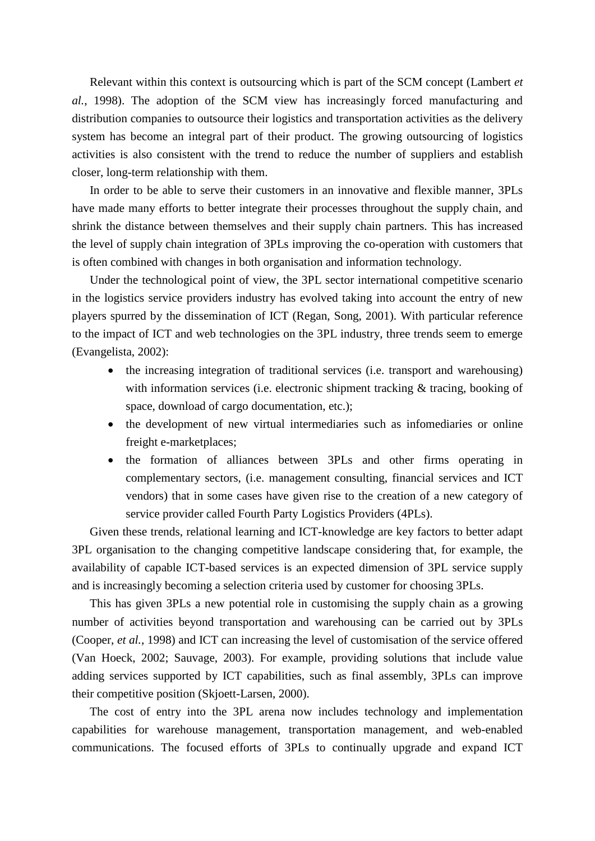Relevant within this context is outsourcing which is part of the SCM concept (Lambert *et al.*, 1998). The adoption of the SCM view has increasingly forced manufacturing and distribution companies to outsource their logistics and transportation activities as the delivery system has become an integral part of their product. The growing outsourcing of logistics activities is also consistent with the trend to reduce the number of suppliers and establish closer, long-term relationship with them.

In order to be able to serve their customers in an innovative and flexible manner, 3PLs have made many efforts to better integrate their processes throughout the supply chain, and shrink the distance between themselves and their supply chain partners. This has increased the level of supply chain integration of 3PLs improving the co-operation with customers that is often combined with changes in both organisation and information technology.

Under the technological point of view, the 3PL sector international competitive scenario in the logistics service providers industry has evolved taking into account the entry of new players spurred by the dissemination of ICT (Regan, Song, 2001). With particular reference to the impact of ICT and web technologies on the 3PL industry, three trends seem to emerge (Evangelista, 2002):

- the increasing integration of traditional services (i.e. transport and warehousing) with information services (i.e. electronic shipment tracking & tracing, booking of space, download of cargo documentation, etc.);
- the development of new virtual intermediaries such as infomediaries or online freight e-marketplaces;
- the formation of alliances between 3PLs and other firms operating in complementary sectors, (i.e. management consulting, financial services and ICT vendors) that in some cases have given rise to the creation of a new category of service provider called Fourth Party Logistics Providers (4PLs).

Given these trends, relational learning and ICT-knowledge are key factors to better adapt 3PL organisation to the changing competitive landscape considering that, for example, the availability of capable ICT-based services is an expected dimension of 3PL service supply and is increasingly becoming a selection criteria used by customer for choosing 3PLs.

This has given 3PLs a new potential role in customising the supply chain as a growing number of activities beyond transportation and warehousing can be carried out by 3PLs (Cooper, *et al.*, 1998) and ICT can increasing the level of customisation of the service offered (Van Hoeck, 2002; Sauvage, 2003). For example, providing solutions that include value adding services supported by ICT capabilities, such as final assembly, 3PLs can improve their competitive position (Skjoett-Larsen, 2000).

The cost of entry into the 3PL arena now includes technology and implementation capabilities for warehouse management, transportation management, and web-enabled communications. The focused efforts of 3PLs to continually upgrade and expand ICT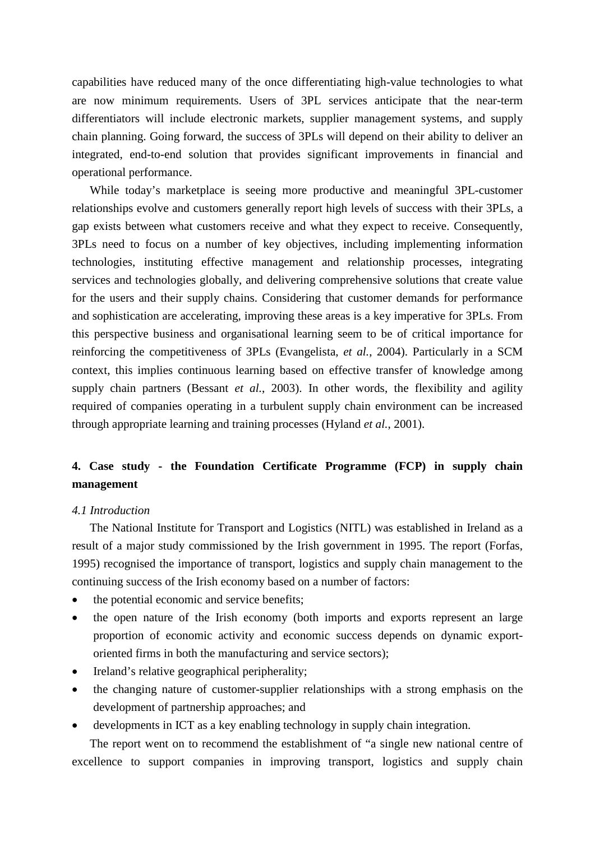capabilities have reduced many of the once differentiating high-value technologies to what are now minimum requirements. Users of 3PL services anticipate that the near-term differentiators will include electronic markets, supplier management systems, and supply chain planning. Going forward, the success of 3PLs will depend on their ability to deliver an integrated, end-to-end solution that provides significant improvements in financial and operational performance.

While today's marketplace is seeing more productive and meaningful 3PL-customer relationships evolve and customers generally report high levels of success with their 3PLs, a gap exists between what customers receive and what they expect to receive. Consequently, 3PLs need to focus on a number of key objectives, including implementing information technologies, instituting effective management and relationship processes, integrating services and technologies globally, and delivering comprehensive solutions that create value for the users and their supply chains. Considering that customer demands for performance and sophistication are accelerating, improving these areas is a key imperative for 3PLs. From this perspective business and organisational learning seem to be of critical importance for reinforcing the competitiveness of 3PLs (Evangelista, *et al.*, 2004). Particularly in a SCM context, this implies continuous learning based on effective transfer of knowledge among supply chain partners (Bessant *et al.*, 2003). In other words, the flexibility and agility required of companies operating in a turbulent supply chain environment can be increased through appropriate learning and training processes (Hyland *et al.*, 2001).

# **4. Case study - the Foundation Certificate Programme (FCP) in supply chain management**

#### *4.1 Introduction*

The National Institute for Transport and Logistics (NITL) was established in Ireland as a result of a major study commissioned by the Irish government in 1995. The report (Forfas, 1995) recognised the importance of transport, logistics and supply chain management to the continuing success of the Irish economy based on a number of factors:

- the potential economic and service benefits;
- the open nature of the Irish economy (both imports and exports represent an large proportion of economic activity and economic success depends on dynamic exportoriented firms in both the manufacturing and service sectors);
- Ireland's relative geographical peripherality;
- the changing nature of customer-supplier relationships with a strong emphasis on the development of partnership approaches; and
- developments in ICT as a key enabling technology in supply chain integration.

The report went on to recommend the establishment of "a single new national centre of excellence to support companies in improving transport, logistics and supply chain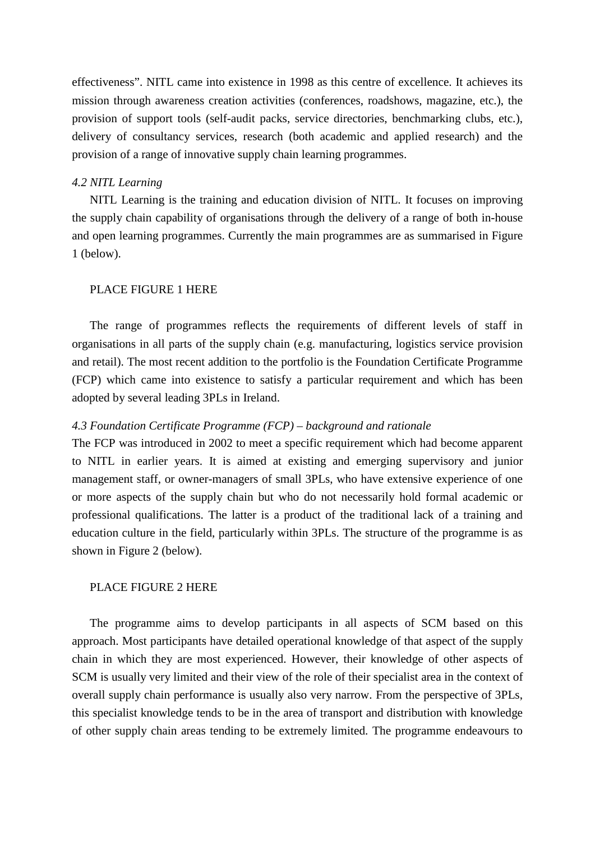effectiveness". NITL came into existence in 1998 as this centre of excellence. It achieves its mission through awareness creation activities (conferences, roadshows, magazine, etc.), the provision of support tools (self-audit packs, service directories, benchmarking clubs, etc.), delivery of consultancy services, research (both academic and applied research) and the provision of a range of innovative supply chain learning programmes.

### *4.2 NITL Learning*

NITL Learning is the training and education division of NITL. It focuses on improving the supply chain capability of organisations through the delivery of a range of both in-house and open learning programmes. Currently the main programmes are as summarised in Figure 1 (below).

# PLACE FIGURE 1 HERE

The range of programmes reflects the requirements of different levels of staff in organisations in all parts of the supply chain (e.g. manufacturing, logistics service provision and retail). The most recent addition to the portfolio is the Foundation Certificate Programme (FCP) which came into existence to satisfy a particular requirement and which has been adopted by several leading 3PLs in Ireland.

## *4.3 Foundation Certificate Programme (FCP) – background and rationale*

The FCP was introduced in 2002 to meet a specific requirement which had become apparent to NITL in earlier years. It is aimed at existing and emerging supervisory and junior management staff, or owner-managers of small 3PLs, who have extensive experience of one or more aspects of the supply chain but who do not necessarily hold formal academic or professional qualifications. The latter is a product of the traditional lack of a training and education culture in the field, particularly within 3PLs. The structure of the programme is as shown in Figure 2 (below).

# PLACE FIGURE 2 HERE

The programme aims to develop participants in all aspects of SCM based on this approach. Most participants have detailed operational knowledge of that aspect of the supply chain in which they are most experienced. However, their knowledge of other aspects of SCM is usually very limited and their view of the role of their specialist area in the context of overall supply chain performance is usually also very narrow. From the perspective of 3PLs, this specialist knowledge tends to be in the area of transport and distribution with knowledge of other supply chain areas tending to be extremely limited. The programme endeavours to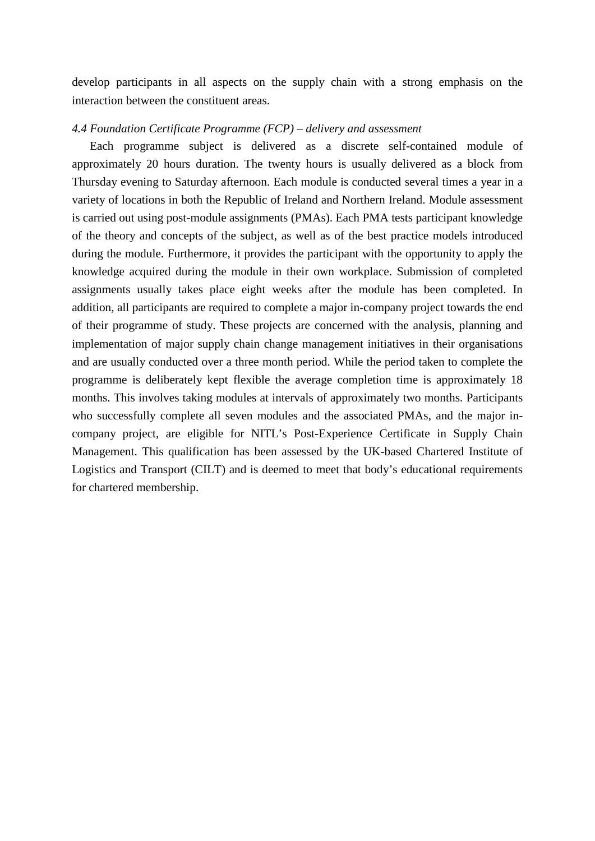develop participants in all aspects on the supply chain with a strong emphasis on the interaction between the constituent areas.

# *4.4 Foundation Certificate Programme (FCP) – delivery and assessment*

Each programme subject is delivered as a discrete self-contained module of approximately 20 hours duration. The twenty hours is usually delivered as a block from Thursday evening to Saturday afternoon. Each module is conducted several times a year in a variety of locations in both the Republic of Ireland and Northern Ireland. Module assessment is carried out using post-module assignments (PMAs). Each PMA tests participant knowledge of the theory and concepts of the subject, as well as of the best practice models introduced during the module. Furthermore, it provides the participant with the opportunity to apply the knowledge acquired during the module in their own workplace. Submission of completed assignments usually takes place eight weeks after the module has been completed. In addition, all participants are required to complete a major in-company project towards the end of their programme of study. These projects are concerned with the analysis, planning and implementation of major supply chain change management initiatives in their organisations and are usually conducted over a three month period. While the period taken to complete the programme is deliberately kept flexible the average completion time is approximately 18 months. This involves taking modules at intervals of approximately two months. Participants who successfully complete all seven modules and the associated PMAs, and the major incompany project, are eligible for NITL's Post-Experience Certificate in Supply Chain Management. This qualification has been assessed by the UK-based Chartered Institute of Logistics and Transport (CILT) and is deemed to meet that body's educational requirements for chartered membership.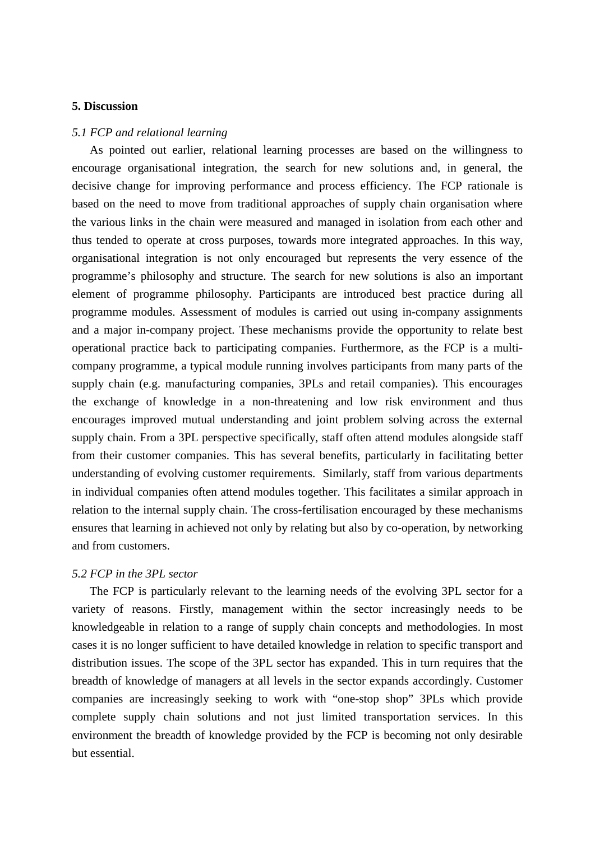### **5. Discussion**

#### *5.1 FCP and relational learning*

As pointed out earlier, relational learning processes are based on the willingness to encourage organisational integration, the search for new solutions and, in general, the decisive change for improving performance and process efficiency. The FCP rationale is based on the need to move from traditional approaches of supply chain organisation where the various links in the chain were measured and managed in isolation from each other and thus tended to operate at cross purposes, towards more integrated approaches. In this way, organisational integration is not only encouraged but represents the very essence of the programme's philosophy and structure. The search for new solutions is also an important element of programme philosophy. Participants are introduced best practice during all programme modules. Assessment of modules is carried out using in-company assignments and a major in-company project. These mechanisms provide the opportunity to relate best operational practice back to participating companies. Furthermore, as the FCP is a multicompany programme, a typical module running involves participants from many parts of the supply chain (e.g. manufacturing companies, 3PLs and retail companies). This encourages the exchange of knowledge in a non-threatening and low risk environment and thus encourages improved mutual understanding and joint problem solving across the external supply chain. From a 3PL perspective specifically, staff often attend modules alongside staff from their customer companies. This has several benefits, particularly in facilitating better understanding of evolving customer requirements. Similarly, staff from various departments in individual companies often attend modules together. This facilitates a similar approach in relation to the internal supply chain. The cross-fertilisation encouraged by these mechanisms ensures that learning in achieved not only by relating but also by co-operation, by networking and from customers.

# *5.2 FCP in the 3PL sector*

The FCP is particularly relevant to the learning needs of the evolving 3PL sector for a variety of reasons. Firstly, management within the sector increasingly needs to be knowledgeable in relation to a range of supply chain concepts and methodologies. In most cases it is no longer sufficient to have detailed knowledge in relation to specific transport and distribution issues. The scope of the 3PL sector has expanded. This in turn requires that the breadth of knowledge of managers at all levels in the sector expands accordingly. Customer companies are increasingly seeking to work with "one-stop shop" 3PLs which provide complete supply chain solutions and not just limited transportation services. In this environment the breadth of knowledge provided by the FCP is becoming not only desirable but essential.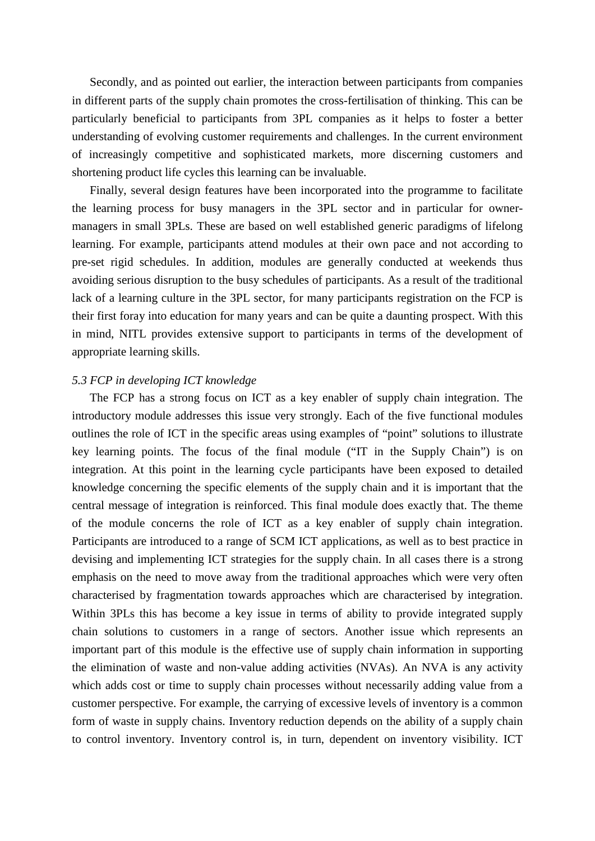Secondly, and as pointed out earlier, the interaction between participants from companies in different parts of the supply chain promotes the cross-fertilisation of thinking. This can be particularly beneficial to participants from 3PL companies as it helps to foster a better understanding of evolving customer requirements and challenges. In the current environment of increasingly competitive and sophisticated markets, more discerning customers and shortening product life cycles this learning can be invaluable.

Finally, several design features have been incorporated into the programme to facilitate the learning process for busy managers in the 3PL sector and in particular for ownermanagers in small 3PLs. These are based on well established generic paradigms of lifelong learning. For example, participants attend modules at their own pace and not according to pre-set rigid schedules. In addition, modules are generally conducted at weekends thus avoiding serious disruption to the busy schedules of participants. As a result of the traditional lack of a learning culture in the 3PL sector, for many participants registration on the FCP is their first foray into education for many years and can be quite a daunting prospect. With this in mind, NITL provides extensive support to participants in terms of the development of appropriate learning skills.

#### *5.3 FCP in developing ICT knowledge*

The FCP has a strong focus on ICT as a key enabler of supply chain integration. The introductory module addresses this issue very strongly. Each of the five functional modules outlines the role of ICT in the specific areas using examples of "point" solutions to illustrate key learning points. The focus of the final module ("IT in the Supply Chain") is on integration. At this point in the learning cycle participants have been exposed to detailed knowledge concerning the specific elements of the supply chain and it is important that the central message of integration is reinforced. This final module does exactly that. The theme of the module concerns the role of ICT as a key enabler of supply chain integration. Participants are introduced to a range of SCM ICT applications, as well as to best practice in devising and implementing ICT strategies for the supply chain. In all cases there is a strong emphasis on the need to move away from the traditional approaches which were very often characterised by fragmentation towards approaches which are characterised by integration. Within 3PLs this has become a key issue in terms of ability to provide integrated supply chain solutions to customers in a range of sectors. Another issue which represents an important part of this module is the effective use of supply chain information in supporting the elimination of waste and non-value adding activities (NVAs). An NVA is any activity which adds cost or time to supply chain processes without necessarily adding value from a customer perspective. For example, the carrying of excessive levels of inventory is a common form of waste in supply chains. Inventory reduction depends on the ability of a supply chain to control inventory. Inventory control is, in turn, dependent on inventory visibility. ICT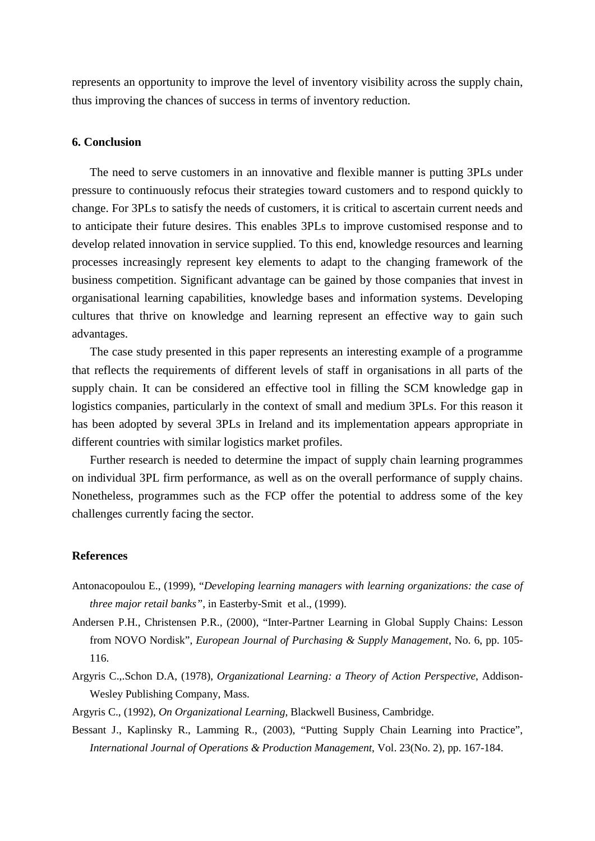represents an opportunity to improve the level of inventory visibility across the supply chain, thus improving the chances of success in terms of inventory reduction.

#### **6. Conclusion**

The need to serve customers in an innovative and flexible manner is putting 3PLs under pressure to continuously refocus their strategies toward customers and to respond quickly to change. For 3PLs to satisfy the needs of customers, it is critical to ascertain current needs and to anticipate their future desires. This enables 3PLs to improve customised response and to develop related innovation in service supplied. To this end, knowledge resources and learning processes increasingly represent key elements to adapt to the changing framework of the business competition. Significant advantage can be gained by those companies that invest in organisational learning capabilities, knowledge bases and information systems. Developing cultures that thrive on knowledge and learning represent an effective way to gain such advantages.

The case study presented in this paper represents an interesting example of a programme that reflects the requirements of different levels of staff in organisations in all parts of the supply chain. It can be considered an effective tool in filling the SCM knowledge gap in logistics companies, particularly in the context of small and medium 3PLs. For this reason it has been adopted by several 3PLs in Ireland and its implementation appears appropriate in different countries with similar logistics market profiles.

Further research is needed to determine the impact of supply chain learning programmes on individual 3PL firm performance, as well as on the overall performance of supply chains. Nonetheless, programmes such as the FCP offer the potential to address some of the key challenges currently facing the sector.

#### **References**

- Antonacopoulou E., (1999), "*Developing learning managers with learning organizations: the case of three major retail banks"*, in Easterby-Smit et al., (1999).
- Andersen P.H., Christensen P.R., (2000), "Inter-Partner Learning in Global Supply Chains: Lesson from NOVO Nordisk", *European Journal of Purchasing & Supply Management*, No. 6, pp. 105- 116.
- Argyris C.,.Schon D.A, (1978), *Organizational Learning: a Theory of Action Perspective*, Addison-Wesley Publishing Company, Mass.
- Argyris C., (1992), *On Organizational Learning*, Blackwell Business, Cambridge.
- Bessant J., Kaplinsky R., Lamming R., (2003), ["Putting Supply Chain Learning into Practice"](http://web4.epnet.com/citation.asp?tb=1&_ug=dbs+bsh+sid+95058C58%2D06A5%2D46CD%2D91C3%2D96A7D6ECDBBE%40sessionmgr3+D8DD&_us=cst+0%3B1%3B2+dstb+ES+hd+0+hs+%2D1+or+Date+ri+KAAACBYA00002871+sl+0+sm+ES+ss+SO+B607&_uso=db%5B0+%2Dbsh+hd+0+op%5B2+%2DA), *International Journal of Operations & Production Management*, Vol. 23(No. 2), pp. 167-184.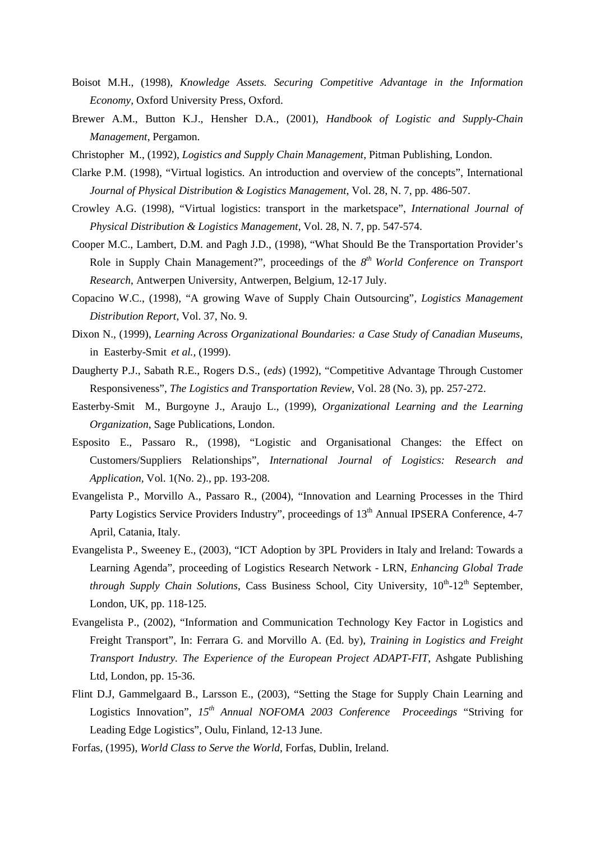- Boisot M.H., (1998), *Knowledge Assets. Securing Competitive Advantage in the Information Economy,* Oxford University Press, Oxford.
- Brewer A.M., Button K.J., Hensher D.A., (2001), *Handbook of Logistic and Supply-Chain Management*, Pergamon.
- Christopher M., (1992), *Logistics and Supply Chain Management*, Pitman Publishing, London.
- Clarke P.M. (1998), "Virtual logistics. An introduction and overview of the concepts", International *Journal of Physical Distribution & Logistics Management*, Vol. 28, N. 7, pp. 486-507.
- Crowley A.G. (1998), "Virtual logistics: transport in the marketspace", *International Journal of Physical Distribution & Logistics Management*, Vol. 28, N. 7, pp. 547-574.
- Cooper M.C., Lambert, D.M. and Pagh J.D., (1998), "What Should Be the Transportation Provider's Role in Supply Chain Management?", proceedings of the *8th World Conference on Transport Research*, Antwerpen University, Antwerpen, Belgium, 12-17 July.
- Copacino W.C., (1998), "A growing Wave of Supply Chain Outsourcing", *Logistics Management Distribution Report*, Vol. 37, No. 9.
- Dixon N., (1999), *Learning Across Organizational Boundaries: a Case Study of Canadian Museums*, in Easterby-Smit *et al.,* (1999).
- Daugherty P.J., Sabath R.E., Rogers D.S., (*eds*) (1992), "Competitive Advantage Through Customer Responsiveness", *The Logistics and Transportation Review*, Vol. 28 (No. 3), pp. 257-272.
- Easterby-Smit M., Burgoyne J., Araujo L., (1999), *Organizational Learning and the Learning Organization*, Sage Publications, London.
- Esposito E., Passaro R., (1998), "Logistic and Organisational Changes: the Effect on Customers/Suppliers Relationships", *International Journal of Logistics: Research and Application,* Vol. 1(No. 2)., pp. 193-208.
- Evangelista P., Morvillo A., Passaro R., (2004), "Innovation and Learning Processes in the Third Party Logistics Service Providers Industry", proceedings of 13<sup>th</sup> Annual IPSERA Conference, 4-7 April, Catania, Italy.
- Evangelista P., Sweeney E., (2003), "ICT Adoption by 3PL Providers in Italy and Ireland: Towards a Learning Agenda", proceeding of Logistics Research Network - LRN*, Enhancing Global Trade through Supply Chain Solutions*, Cass Business School, City University, 10<sup>th</sup>-12<sup>th</sup> September, London, UK, pp. 118-125.
- Evangelista P., (2002), "Information and Communication Technology Key Factor in Logistics and Freight Transport", In: Ferrara G. and Morvillo A. (Ed. by), *Training in Logistics and Freight Transport Industry. The Experience of the European Project ADAPT-FIT*, Ashgate Publishing Ltd, London, pp. 15-36.
- Flint D.J, Gammelgaard B., Larsson E., (2003), "Setting the Stage for Supply Chain Learning and Logistics Innovation", *15th Annual NOFOMA 2003 Conference Proceedings* "Striving for Leading Edge Logistics", Oulu, Finland, 12-13 June.
- Forfas, (1995), *World Class to Serve the World*, Forfas, Dublin, Ireland.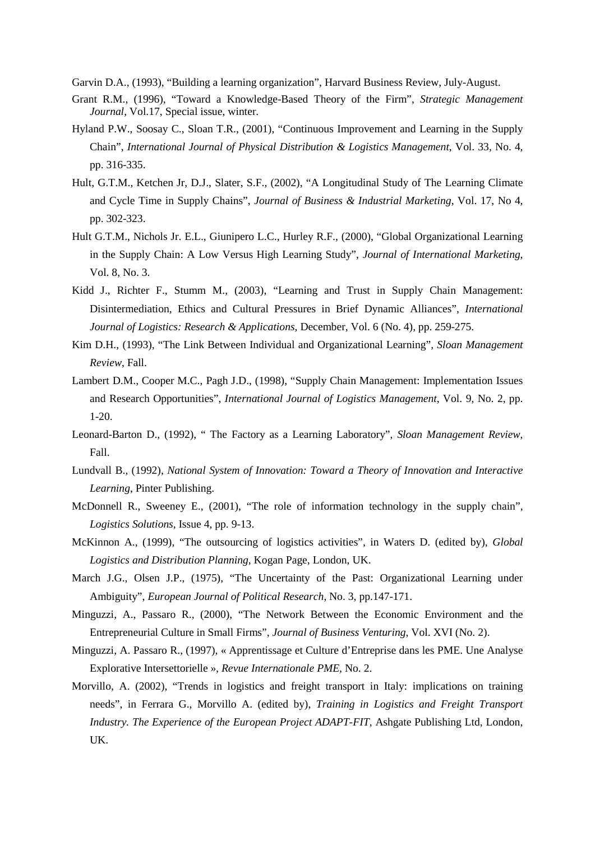Garvin D.A., (1993), "Building a learning organization", Harvard Business Review, July-August.

- Grant R.M., (1996), "Toward a Knowledge-Based Theory of the Firm", *Strategic Management Journal*, Vol.17, Special issue, winter.
- Hyland P.W., Soosay C., Sloan T.R., (2001), "Continuous Improvement and Learning in the Supply Chain", *International Journal of Physical Distribution & Logistics Management*, Vol. 33, No. 4, pp. 316-335.
- Hult, G.T.M., Ketchen Jr, D.J., Slater, S.F., (2002), "A Longitudinal Study of The Learning Climate and Cycle Time in Supply Chains", *Journal of Business & Industrial Marketing*, Vol. 17, No 4, pp. 302-323.
- Hult G.T.M., Nichols Jr. E.L., Giunipero L.C., Hurley R.F., (2000), "Global Organizational Learning in the Supply Chain: A Low Versus High Learning Study", *Journal of International Marketing*, Vol. 8, No. 3.
- Kidd J., Richter F., Stumm M., (2003), "Learning and Trust in Supply Chain Management: Disintermediation, Ethics and Cultural Pressures in Brief Dynamic Alliances", *International Journal of Logistics: Research & Applications*, December, Vol. 6 (No. 4), pp. 259-275.
- Kim D.H., (1993), "The Link Between Individual and Organizational Learning", *Sloan Management Review*, Fall.
- Lambert D.M., Cooper M.C., Pagh J.D., (1998), "Supply Chain Management: Implementation Issues and Research Opportunities", *International Journal of Logistics Management*, Vol. 9, No. 2, pp. 1-20.
- Leonard-Barton D., (1992), " The Factory as a Learning Laboratory", *Sloan Management Review*, Fall.
- Lundvall B., (1992), *National System of Innovation: Toward a Theory of Innovation and Interactive Learning*, Pinter Publishing.
- McDonnell R., Sweeney E., (2001), "The role of information technology in the supply chain", *Logistics Solutions*, Issue 4, pp. 9-13.
- McKinnon A., (1999), "The outsourcing of logistics activities", in Waters D. (edited by), *Global Logistics and Distribution Planning*, Kogan Page, London, UK.
- March J.G., Olsen J.P., (1975), "The Uncertainty of the Past: Organizational Learning under Ambiguity", *European Journal of Political Research*, No. 3, pp.147-171.
- Minguzzi, A., Passaro R., (2000), "The Network Between the Economic Environment and the Entrepreneurial Culture in Small Firms", *Journal of Business Venturing*, Vol. XVI (No. 2).
- Minguzzi, A. Passaro R., (1997), « Apprentissage et Culture d'Entreprise dans les PME. Une Analyse Explorative Intersettorielle », *Revue Internationale PME,* No. 2.
- Morvillo, A. (2002), "Trends in logistics and freight transport in Italy: implications on training needs", in Ferrara G., Morvillo A. (edited by), *Training in Logistics and Freight Transport Industry. The Experience of the European Project ADAPT-FIT*, Ashgate Publishing Ltd, London, UK.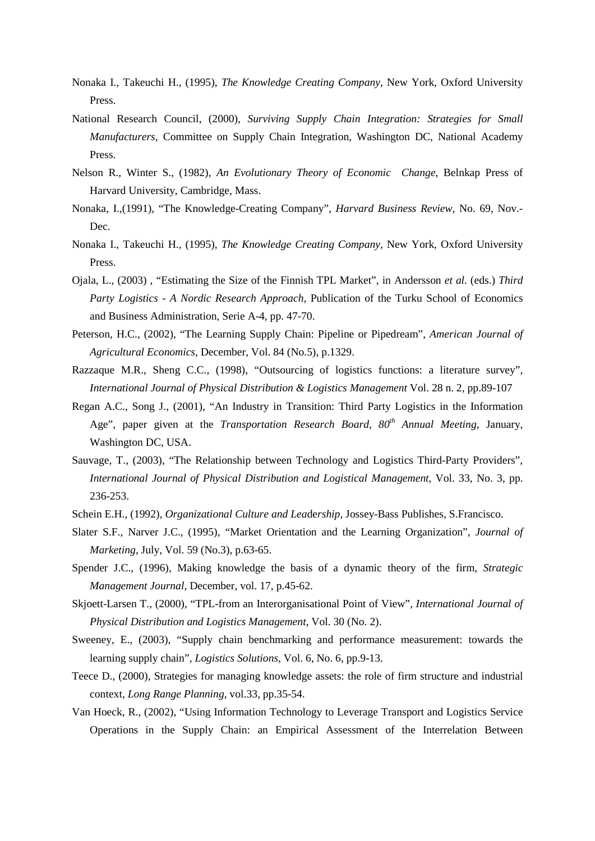- Nonaka I., Takeuchi H., (1995), *The Knowledge Creating Company*, New York, Oxford University Press.
- National Research Council, (2000), *Surviving Supply Chain Integration: Strategies for Small Manufacturers*, Committee on Supply Chain Integration, Washington DC, National Academy Press.
- Nelson R., Winter S., (1982), *An Evolutionary Theory of Economic Change*, Belnkap Press of Harvard University, Cambridge, Mass.
- Nonaka, I.,(1991), "The Knowledge-Creating Company", *Harvard Business Review*, No. 69, Nov.- Dec.
- Nonaka I., Takeuchi H., (1995), *The Knowledge Creating Company*, New York, Oxford University Press.
- Ojala, L., (2003) , "Estimating the Size of the Finnish TPL Market", in Andersson *et al.* (eds.) *Third Party Logistics - A Nordic Research Approach*, Publication of the Turku School of Economics and Business Administration, Serie A-4, pp. 47-70.
- Peterson, H.C., (2002), "The Learning Supply Chain: Pipeline or Pipedream", *American Journal of Agricultural Economics*, December, Vol. 84 (No.5), p.1329.
- Razzaque M.R., Sheng C.C., (1998), "Outsourcing of logistics functions: a literature survey", *International Journal of Physical Distribution & Logistics Management* Vol. 28 n. 2, pp.89-107
- Regan A.C., Song J., (2001), "An Industry in Transition: Third Party Logistics in the Information Age", paper given at the *Transportation Research Board*, 80<sup>th</sup> *Annual Meeting*, January, Washington DC, USA.
- Sauvage, T., (2003), "The Relationship between Technology and Logistics Third-Party Providers", *International Journal of Physical Distribution and Logistical Management*, Vol. 33, No. 3, pp. 236-253.
- Schein E.H., (1992), *Organizational Culture and Lea*de*rship*, Jossey-Bass Publishes, S.Francisco.
- Slater S.F., Narver J.C., (1995), "Market Orientation and the Learning Organization", *Journal of Marketing*, July, Vol. 59 (No.3), p.63-65.
- Spender J.C., (1996), Making knowledge the basis of a dynamic theory of the firm, *Strategic Management Journal*, December, vol. 17, p.45-62.
- Skjoett-Larsen T., (2000), "TPL-from an Interorganisational Point of View", *International Journal of Physical Distribution and Logistics Management*, Vol. 30 (No. 2).
- Sweeney, E., (2003), "Supply chain benchmarking and performance measurement: towards the learning supply chain", *Logistics Solutions*, Vol. 6, No. 6, pp.9-13.
- Teece D., (2000), Strategies for managing knowledge assets: the role of firm structure and industrial context, *Long Range Planning*, vol.33, pp.35-54.
- Van Hoeck, R., (2002), "Using Information Technology to Leverage Transport and Logistics Service Operations in the Supply Chain: an Empirical Assessment of the Interrelation Between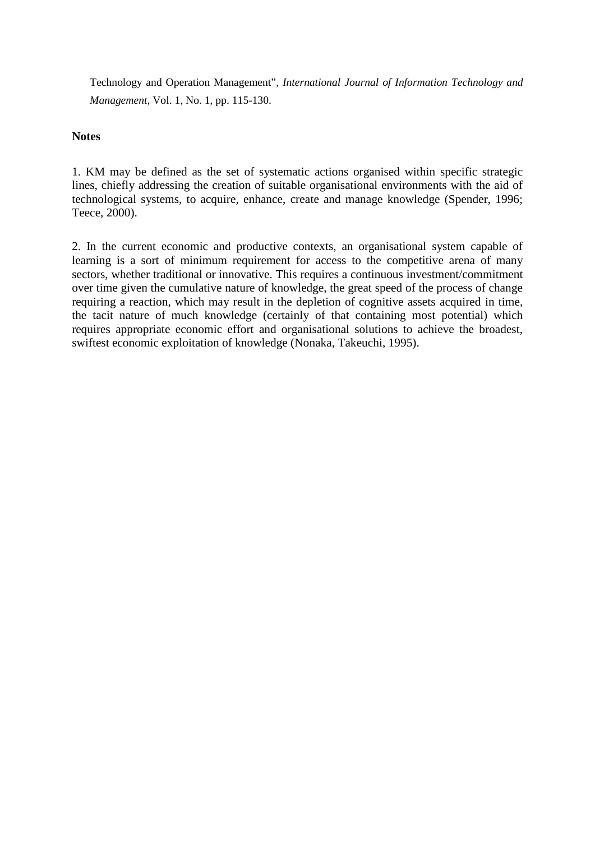Technology and Operation Management", *International Journal of Information Technology and Management*, Vol. 1, No. 1, pp. 115-130.

# **Notes**

1. KM may be defined as the set of systematic actions organised within specific strategic lines, chiefly addressing the creation of suitable organisational environments with the aid of technological systems, to acquire, enhance, create and manage knowledge (Spender, 1996; Teece, 2000).

2. In the current economic and productive contexts, an organisational system capable of learning is a sort of minimum requirement for access to the competitive arena of many sectors, whether traditional or innovative. This requires a continuous investment/commitment over time given the cumulative nature of knowledge, the great speed of the process of change requiring a reaction, which may result in the depletion of cognitive assets acquired in time, the tacit nature of much knowledge (certainly of that containing most potential) which requires appropriate economic effort and organisational solutions to achieve the broadest, swiftest economic exploitation of knowledge (Nonaka, Takeuchi, 1995).